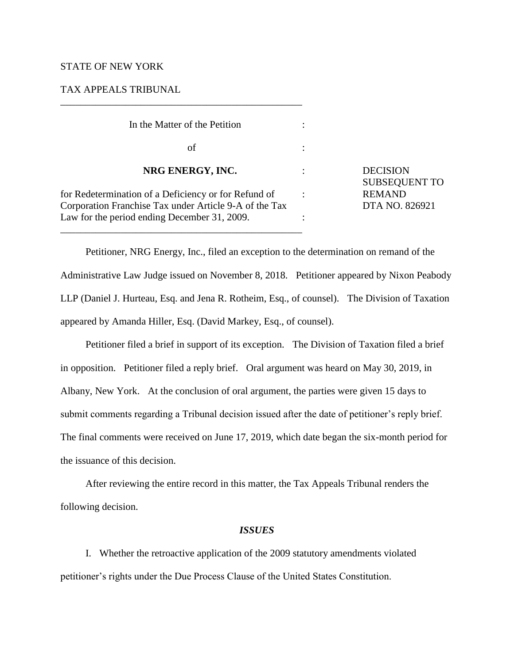## STATE OF NEW YORK

# TAX APPEALS TRIBUNAL

\_\_\_\_\_\_\_\_\_\_\_\_\_\_\_\_\_\_\_\_\_\_\_\_\_\_\_\_\_\_\_\_\_\_\_\_\_\_\_\_\_\_\_\_\_\_\_\_

| In the Matter of the Petition                                                                                  |                                        |
|----------------------------------------------------------------------------------------------------------------|----------------------------------------|
| οf                                                                                                             |                                        |
| NRG ENERGY, INC.                                                                                               | <b>DECISION</b><br><b>SUBSEQUENT T</b> |
| for Redetermination of a Deficiency or for Refund of<br>Corporation Franchise Tax under Article 9-A of the Tax | <b>REMAND</b><br>DTA NO. 826921        |
| Law for the period ending December 31, 2009.                                                                   |                                        |

TO

Petitioner, NRG Energy, Inc., filed an exception to the determination on remand of the Administrative Law Judge issued on November 8, 2018. Petitioner appeared by Nixon Peabody LLP (Daniel J. Hurteau, Esq. and Jena R. Rotheim, Esq., of counsel). The Division of Taxation appeared by Amanda Hiller, Esq. (David Markey, Esq., of counsel).

Petitioner filed a brief in support of its exception. The Division of Taxation filed a brief in opposition. Petitioner filed a reply brief. Oral argument was heard on May 30, 2019, in Albany, New York. At the conclusion of oral argument, the parties were given 15 days to submit comments regarding a Tribunal decision issued after the date of petitioner's reply brief. The final comments were received on June 17, 2019, which date began the six-month period for the issuance of this decision.

After reviewing the entire record in this matter, the Tax Appeals Tribunal renders the following decision.

#### *ISSUES*

I. Whether the retroactive application of the 2009 statutory amendments violated petitioner's rights under the Due Process Clause of the United States Constitution.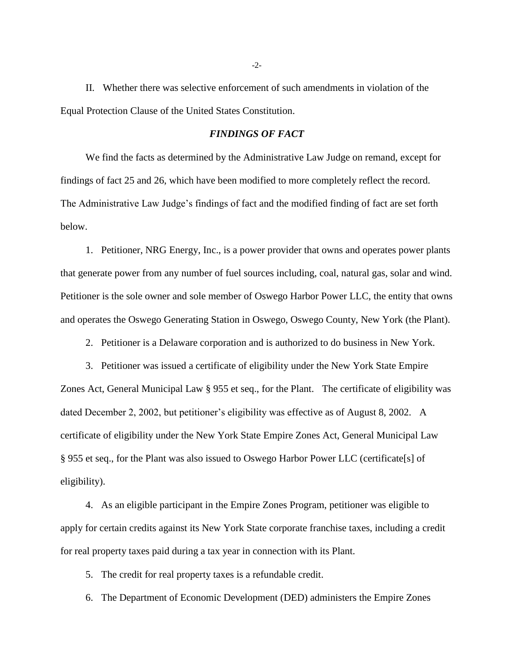II. Whether there was selective enforcement of such amendments in violation of the Equal Protection Clause of the United States Constitution.

# *FINDINGS OF FACT*

We find the facts as determined by the Administrative Law Judge on remand, except for findings of fact 25 and 26, which have been modified to more completely reflect the record. The Administrative Law Judge's findings of fact and the modified finding of fact are set forth below.

1. Petitioner, NRG Energy, Inc., is a power provider that owns and operates power plants that generate power from any number of fuel sources including, coal, natural gas, solar and wind. Petitioner is the sole owner and sole member of Oswego Harbor Power LLC, the entity that owns and operates the Oswego Generating Station in Oswego, Oswego County, New York (the Plant).

2. Petitioner is a Delaware corporation and is authorized to do business in New York.

3. Petitioner was issued a certificate of eligibility under the New York State Empire Zones Act, General Municipal Law § 955 et seq., for the Plant. The certificate of eligibility was dated December 2, 2002, but petitioner's eligibility was effective as of August 8, 2002. A certificate of eligibility under the New York State Empire Zones Act, General Municipal Law § 955 et seq., for the Plant was also issued to Oswego Harbor Power LLC (certificate[s] of eligibility).

4. As an eligible participant in the Empire Zones Program, petitioner was eligible to apply for certain credits against its New York State corporate franchise taxes, including a credit for real property taxes paid during a tax year in connection with its Plant.

5. The credit for real property taxes is a refundable credit.

6. The Department of Economic Development (DED) administers the Empire Zones

-2-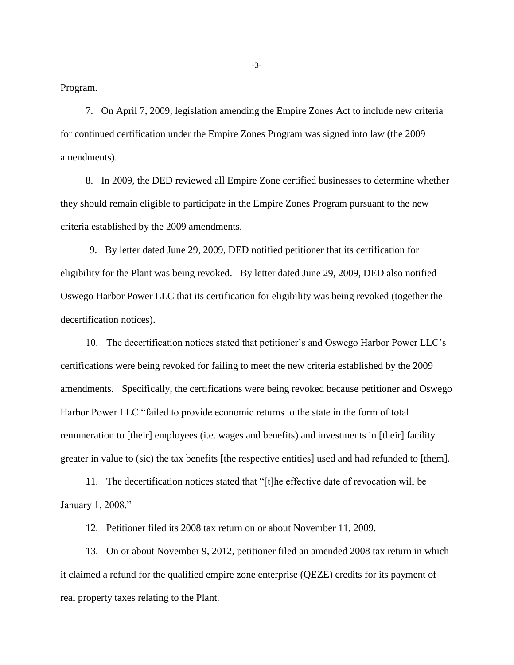Program.

7. On April 7, 2009, legislation amending the Empire Zones Act to include new criteria for continued certification under the Empire Zones Program was signed into law (the 2009 amendments).

8. In 2009, the DED reviewed all Empire Zone certified businesses to determine whether they should remain eligible to participate in the Empire Zones Program pursuant to the new criteria established by the 2009 amendments.

9. By letter dated June 29, 2009, DED notified petitioner that its certification for eligibility for the Plant was being revoked. By letter dated June 29, 2009, DED also notified Oswego Harbor Power LLC that its certification for eligibility was being revoked (together the decertification notices).

10. The decertification notices stated that petitioner's and Oswego Harbor Power LLC's certifications were being revoked for failing to meet the new criteria established by the 2009 amendments. Specifically, the certifications were being revoked because petitioner and Oswego Harbor Power LLC "failed to provide economic returns to the state in the form of total remuneration to [their] employees (i.e. wages and benefits) and investments in [their] facility greater in value to (sic) the tax benefits [the respective entities] used and had refunded to [them].

11. The decertification notices stated that "[t]he effective date of revocation will be January 1, 2008."

12. Petitioner filed its 2008 tax return on or about November 11, 2009.

13. On or about November 9, 2012, petitioner filed an amended 2008 tax return in which it claimed a refund for the qualified empire zone enterprise (QEZE) credits for its payment of real property taxes relating to the Plant.

-3-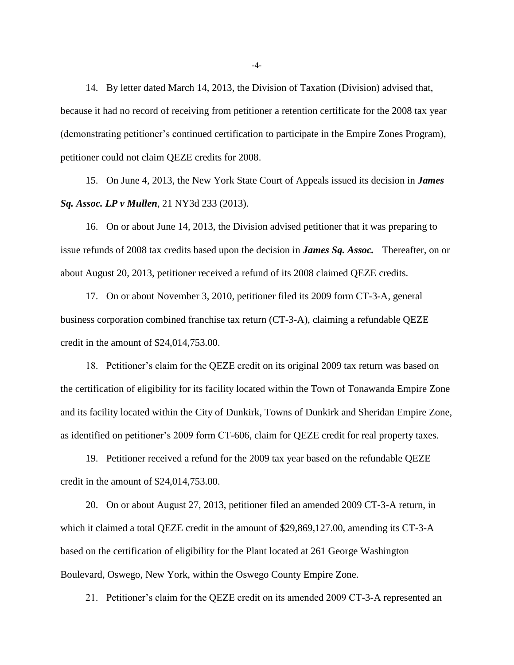14. By letter dated March 14, 2013, the Division of Taxation (Division) advised that, because it had no record of receiving from petitioner a retention certificate for the 2008 tax year (demonstrating petitioner's continued certification to participate in the Empire Zones Program), petitioner could not claim QEZE credits for 2008.

15. On June 4, 2013, the New York State Court of Appeals issued its decision in *James Sq. Assoc. LP v Mullen*, 21 NY3d 233 (2013).

16. On or about June 14, 2013, the Division advised petitioner that it was preparing to issue refunds of 2008 tax credits based upon the decision in *James Sq. Assoc.* Thereafter, on or about August 20, 2013, petitioner received a refund of its 2008 claimed QEZE credits.

17. On or about November 3, 2010, petitioner filed its 2009 form CT-3-A, general business corporation combined franchise tax return (CT-3-A), claiming a refundable QEZE credit in the amount of \$24,014,753.00.

18. Petitioner's claim for the QEZE credit on its original 2009 tax return was based on the certification of eligibility for its facility located within the Town of Tonawanda Empire Zone and its facility located within the City of Dunkirk, Towns of Dunkirk and Sheridan Empire Zone, as identified on petitioner's 2009 form CT-606, claim for QEZE credit for real property taxes.

19. Petitioner received a refund for the 2009 tax year based on the refundable QEZE credit in the amount of \$24,014,753.00.

20. On or about August 27, 2013, petitioner filed an amended 2009 CT-3-A return, in which it claimed a total QEZE credit in the amount of \$29,869,127.00, amending its CT-3-A based on the certification of eligibility for the Plant located at 261 George Washington Boulevard, Oswego, New York, within the Oswego County Empire Zone.

21. Petitioner's claim for the QEZE credit on its amended 2009 CT-3-A represented an

-4-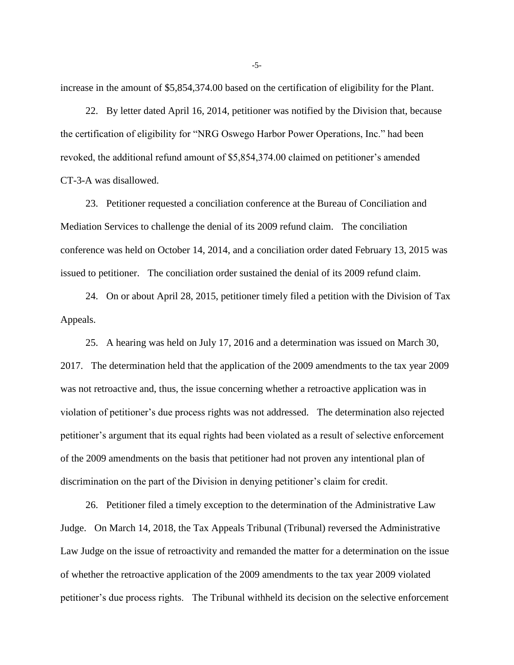increase in the amount of \$5,854,374.00 based on the certification of eligibility for the Plant.

22. By letter dated April 16, 2014, petitioner was notified by the Division that, because the certification of eligibility for "NRG Oswego Harbor Power Operations, Inc." had been revoked, the additional refund amount of \$5,854,374.00 claimed on petitioner's amended CT-3-A was disallowed.

23. Petitioner requested a conciliation conference at the Bureau of Conciliation and Mediation Services to challenge the denial of its 2009 refund claim. The conciliation conference was held on October 14, 2014, and a conciliation order dated February 13, 2015 was issued to petitioner. The conciliation order sustained the denial of its 2009 refund claim.

24. On or about April 28, 2015, petitioner timely filed a petition with the Division of Tax Appeals.

25. A hearing was held on July 17, 2016 and a determination was issued on March 30, 2017. The determination held that the application of the 2009 amendments to the tax year 2009 was not retroactive and, thus, the issue concerning whether a retroactive application was in violation of petitioner's due process rights was not addressed. The determination also rejected petitioner's argument that its equal rights had been violated as a result of selective enforcement of the 2009 amendments on the basis that petitioner had not proven any intentional plan of discrimination on the part of the Division in denying petitioner's claim for credit.

26. Petitioner filed a timely exception to the determination of the Administrative Law Judge. On March 14, 2018, the Tax Appeals Tribunal (Tribunal) reversed the Administrative Law Judge on the issue of retroactivity and remanded the matter for a determination on the issue of whether the retroactive application of the 2009 amendments to the tax year 2009 violated petitioner's due process rights. The Tribunal withheld its decision on the selective enforcement

-5-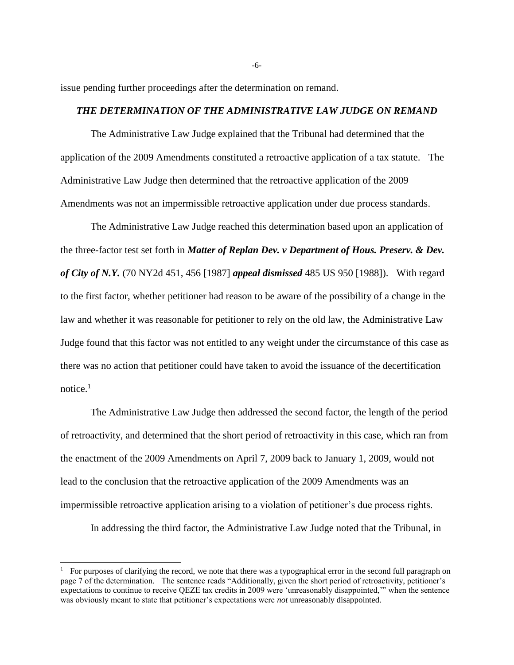issue pending further proceedings after the determination on remand.

# *THE DETERMINATION OF THE ADMINISTRATIVE LAW JUDGE ON REMAND*

The Administrative Law Judge explained that the Tribunal had determined that the application of the 2009 Amendments constituted a retroactive application of a tax statute. The Administrative Law Judge then determined that the retroactive application of the 2009 Amendments was not an impermissible retroactive application under due process standards.

The Administrative Law Judge reached this determination based upon an application of the three-factor test set forth in *Matter of Replan Dev. v Department of Hous. Preserv. & Dev. of City of N.Y.* (70 NY2d 451, 456 [1987] *appeal dismissed* 485 US 950 [1988]). With regard to the first factor, whether petitioner had reason to be aware of the possibility of a change in the law and whether it was reasonable for petitioner to rely on the old law, the Administrative Law Judge found that this factor was not entitled to any weight under the circumstance of this case as there was no action that petitioner could have taken to avoid the issuance of the decertification notice. $<sup>1</sup>$ </sup>

The Administrative Law Judge then addressed the second factor, the length of the period of retroactivity, and determined that the short period of retroactivity in this case, which ran from the enactment of the 2009 Amendments on April 7, 2009 back to January 1, 2009, would not lead to the conclusion that the retroactive application of the 2009 Amendments was an impermissible retroactive application arising to a violation of petitioner's due process rights.

In addressing the third factor, the Administrative Law Judge noted that the Tribunal, in

 $\overline{a}$ 

-6-

<sup>&</sup>lt;sup>1</sup> For purposes of clarifying the record, we note that there was a typographical error in the second full paragraph on page 7 of the determination. The sentence reads "Additionally, given the short period of retroactivity, petitioner's expectations to continue to receive QEZE tax credits in 2009 were 'unreasonably disappointed,'" when the sentence was obviously meant to state that petitioner's expectations were *not* unreasonably disappointed.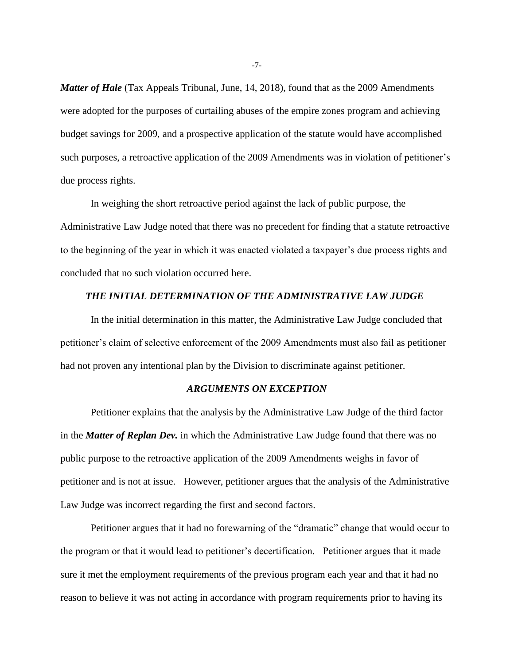*Matter of Hale* (Tax Appeals Tribunal, June, 14, 2018), found that as the 2009 Amendments were adopted for the purposes of curtailing abuses of the empire zones program and achieving budget savings for 2009, and a prospective application of the statute would have accomplished such purposes, a retroactive application of the 2009 Amendments was in violation of petitioner's due process rights.

In weighing the short retroactive period against the lack of public purpose, the Administrative Law Judge noted that there was no precedent for finding that a statute retroactive to the beginning of the year in which it was enacted violated a taxpayer's due process rights and concluded that no such violation occurred here.

# *THE INITIAL DETERMINATION OF THE ADMINISTRATIVE LAW JUDGE*

In the initial determination in this matter, the Administrative Law Judge concluded that petitioner's claim of selective enforcement of the 2009 Amendments must also fail as petitioner had not proven any intentional plan by the Division to discriminate against petitioner.

## *ARGUMENTS ON EXCEPTION*

Petitioner explains that the analysis by the Administrative Law Judge of the third factor in the *Matter of Replan Dev.* in which the Administrative Law Judge found that there was no public purpose to the retroactive application of the 2009 Amendments weighs in favor of petitioner and is not at issue. However, petitioner argues that the analysis of the Administrative Law Judge was incorrect regarding the first and second factors.

Petitioner argues that it had no forewarning of the "dramatic" change that would occur to the program or that it would lead to petitioner's decertification. Petitioner argues that it made sure it met the employment requirements of the previous program each year and that it had no reason to believe it was not acting in accordance with program requirements prior to having its

-7-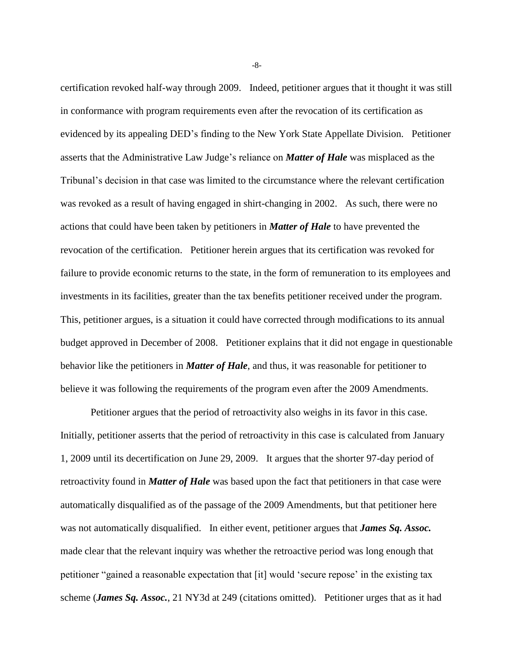certification revoked half-way through 2009. Indeed, petitioner argues that it thought it was still in conformance with program requirements even after the revocation of its certification as evidenced by its appealing DED's finding to the New York State Appellate Division. Petitioner asserts that the Administrative Law Judge's reliance on *Matter of Hale* was misplaced as the Tribunal's decision in that case was limited to the circumstance where the relevant certification was revoked as a result of having engaged in shirt-changing in 2002. As such, there were no actions that could have been taken by petitioners in *Matter of Hale* to have prevented the revocation of the certification. Petitioner herein argues that its certification was revoked for failure to provide economic returns to the state, in the form of remuneration to its employees and investments in its facilities, greater than the tax benefits petitioner received under the program. This, petitioner argues, is a situation it could have corrected through modifications to its annual budget approved in December of 2008. Petitioner explains that it did not engage in questionable behavior like the petitioners in *Matter of Hale*, and thus, it was reasonable for petitioner to believe it was following the requirements of the program even after the 2009 Amendments.

Petitioner argues that the period of retroactivity also weighs in its favor in this case. Initially, petitioner asserts that the period of retroactivity in this case is calculated from January 1, 2009 until its decertification on June 29, 2009. It argues that the shorter 97-day period of retroactivity found in *Matter of Hale* was based upon the fact that petitioners in that case were automatically disqualified as of the passage of the 2009 Amendments, but that petitioner here was not automatically disqualified. In either event, petitioner argues that *James Sq. Assoc.* made clear that the relevant inquiry was whether the retroactive period was long enough that petitioner "gained a reasonable expectation that [it] would 'secure repose' in the existing tax scheme (*James Sq. Assoc.*, 21 NY3d at 249 (citations omitted). Petitioner urges that as it had

-8-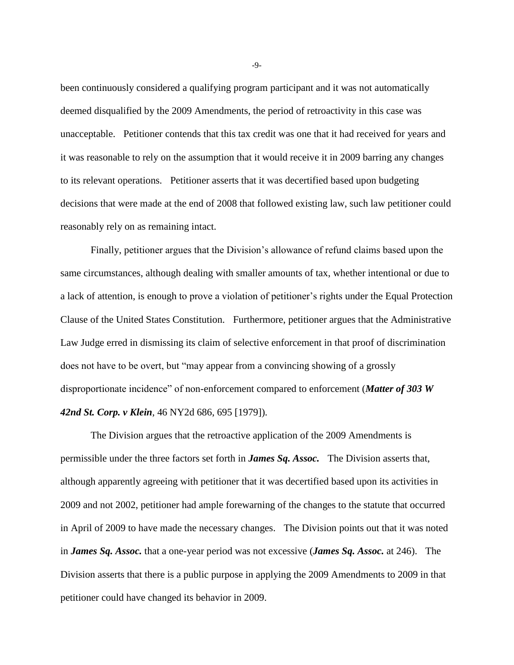been continuously considered a qualifying program participant and it was not automatically deemed disqualified by the 2009 Amendments, the period of retroactivity in this case was unacceptable. Petitioner contends that this tax credit was one that it had received for years and it was reasonable to rely on the assumption that it would receive it in 2009 barring any changes to its relevant operations. Petitioner asserts that it was decertified based upon budgeting decisions that were made at the end of 2008 that followed existing law, such law petitioner could reasonably rely on as remaining intact.

Finally, petitioner argues that the Division's allowance of refund claims based upon the same circumstances, although dealing with smaller amounts of tax, whether intentional or due to a lack of attention, is enough to prove a violation of petitioner's rights under the Equal Protection Clause of the United States Constitution. Furthermore, petitioner argues that the Administrative Law Judge erred in dismissing its claim of selective enforcement in that proof of discrimination does not have to be overt, but "may appear from a convincing showing of a grossly disproportionate incidence" of non-enforcement compared to enforcement (*Matter of 303 W 42nd St. Corp. v Klein*, 46 NY2d 686, 695 [1979]).

The Division argues that the retroactive application of the 2009 Amendments is permissible under the three factors set forth in *James Sq. Assoc.* The Division asserts that, although apparently agreeing with petitioner that it was decertified based upon its activities in 2009 and not 2002, petitioner had ample forewarning of the changes to the statute that occurred in April of 2009 to have made the necessary changes. The Division points out that it was noted in *James Sq. Assoc.* that a one-year period was not excessive (*James Sq. Assoc.* at 246). The Division asserts that there is a public purpose in applying the 2009 Amendments to 2009 in that petitioner could have changed its behavior in 2009.

-9-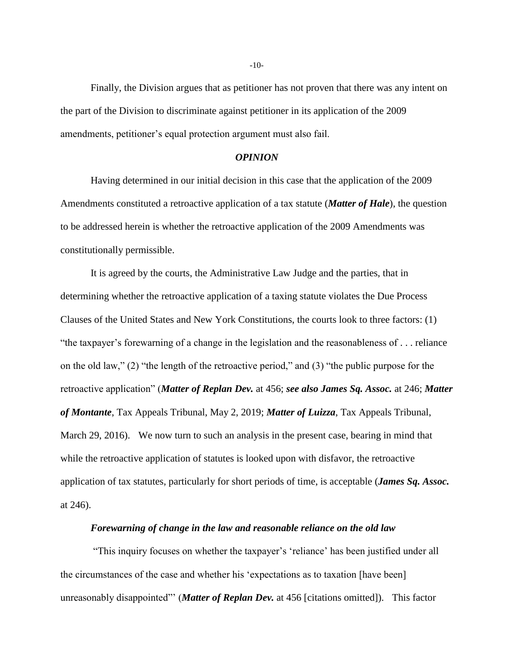Finally, the Division argues that as petitioner has not proven that there was any intent on the part of the Division to discriminate against petitioner in its application of the 2009 amendments, petitioner's equal protection argument must also fail.

#### *OPINION*

Having determined in our initial decision in this case that the application of the 2009 Amendments constituted a retroactive application of a tax statute (*Matter of Hale*), the question to be addressed herein is whether the retroactive application of the 2009 Amendments was constitutionally permissible.

It is agreed by the courts, the Administrative Law Judge and the parties, that in determining whether the retroactive application of a taxing statute violates the Due Process Clauses of the United States and New York Constitutions, the courts look to three factors: (1) "the taxpayer's forewarning of a change in the legislation and the reasonableness of . . . reliance on the old law," (2) "the length of the retroactive period," and (3) "the public purpose for the retroactive application" (*Matter of Replan Dev.* at 456; *see also James Sq. Assoc.* at 246; *Matter of Montante*, Tax Appeals Tribunal, May 2, 2019; *Matter of Luizza*, Tax Appeals Tribunal, March 29, 2016). We now turn to such an analysis in the present case, bearing in mind that while the retroactive application of statutes is looked upon with disfavor, the retroactive application of tax statutes, particularly for short periods of time, is acceptable (*James Sq. Assoc.* at 246).

#### *Forewarning of change in the law and reasonable reliance on the old law*

"This inquiry focuses on whether the taxpayer's 'reliance' has been justified under all the circumstances of the case and whether his 'expectations as to taxation [have been] unreasonably disappointed"' (*Matter of Replan Dev.* at 456 [citations omitted]). This factor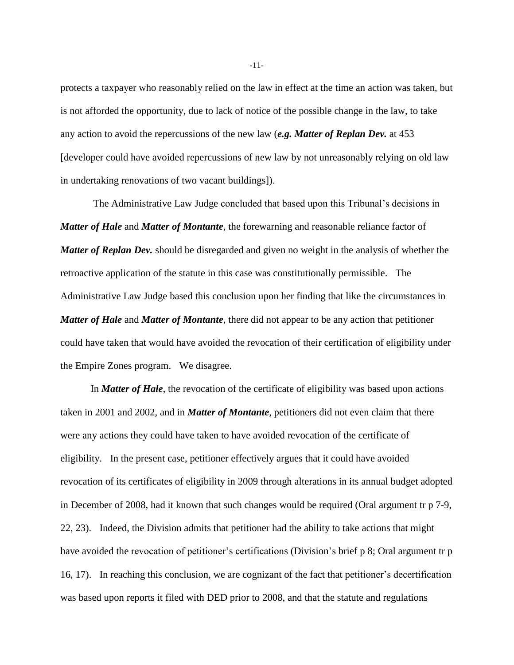protects a taxpayer who reasonably relied on the law in effect at the time an action was taken, but is not afforded the opportunity, due to lack of notice of the possible change in the law, to take any action to avoid the repercussions of the new law (*e.g. Matter of Replan Dev.* at 453 [developer could have avoided repercussions of new law by not unreasonably relying on old law in undertaking renovations of two vacant buildings]).

The Administrative Law Judge concluded that based upon this Tribunal's decisions in *Matter of Hale* and *Matter of Montante*, the forewarning and reasonable reliance factor of *Matter of Replan Dev.* should be disregarded and given no weight in the analysis of whether the retroactive application of the statute in this case was constitutionally permissible. The Administrative Law Judge based this conclusion upon her finding that like the circumstances in *Matter of Hale* and *Matter of Montante*, there did not appear to be any action that petitioner could have taken that would have avoided the revocation of their certification of eligibility under the Empire Zones program. We disagree.

In *Matter of Hale*, the revocation of the certificate of eligibility was based upon actions taken in 2001 and 2002, and in *Matter of Montante*, petitioners did not even claim that there were any actions they could have taken to have avoided revocation of the certificate of eligibility. In the present case, petitioner effectively argues that it could have avoided revocation of its certificates of eligibility in 2009 through alterations in its annual budget adopted in December of 2008, had it known that such changes would be required (Oral argument tr p 7-9, 22, 23). Indeed, the Division admits that petitioner had the ability to take actions that might have avoided the revocation of petitioner's certifications (Division's brief p 8; Oral argument tr p 16, 17). In reaching this conclusion, we are cognizant of the fact that petitioner's decertification was based upon reports it filed with DED prior to 2008, and that the statute and regulations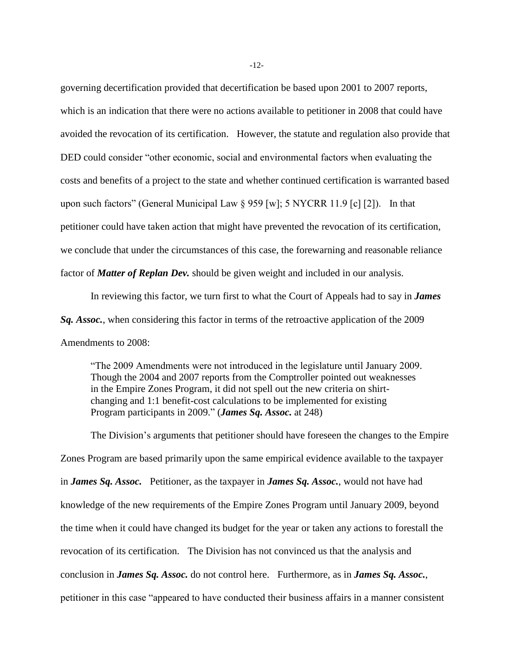governing decertification provided that decertification be based upon 2001 to 2007 reports, which is an indication that there were no actions available to petitioner in 2008 that could have avoided the revocation of its certification. However, the statute and regulation also provide that DED could consider "other economic, social and environmental factors when evaluating the costs and benefits of a project to the state and whether continued certification is warranted based upon such factors" (General Municipal Law § 959 [w]; 5 NYCRR 11.9 [c] [2]). In that petitioner could have taken action that might have prevented the revocation of its certification, we conclude that under the circumstances of this case, the forewarning and reasonable reliance factor of *Matter of Replan Dev.* should be given weight and included in our analysis.

In reviewing this factor, we turn first to what the Court of Appeals had to say in *James Sq. Assoc.*, when considering this factor in terms of the retroactive application of the 2009 Amendments to 2008:

"The 2009 Amendments were not introduced in the legislature until January 2009. Though the 2004 and 2007 reports from the Comptroller pointed out weaknesses in the Empire Zones Program, it did not spell out the new criteria on shirtchanging and 1:1 benefit-cost calculations to be implemented for existing Program participants in 2009." (*James Sq. Assoc.* at 248)

The Division's arguments that petitioner should have foreseen the changes to the Empire Zones Program are based primarily upon the same empirical evidence available to the taxpayer in *James Sq. Assoc.* Petitioner, as the taxpayer in *James Sq. Assoc.*, would not have had knowledge of the new requirements of the Empire Zones Program until January 2009, beyond the time when it could have changed its budget for the year or taken any actions to forestall the revocation of its certification. The Division has not convinced us that the analysis and conclusion in *James Sq. Assoc.* do not control here. Furthermore, as in *James Sq. Assoc.*, petitioner in this case "appeared to have conducted their business affairs in a manner consistent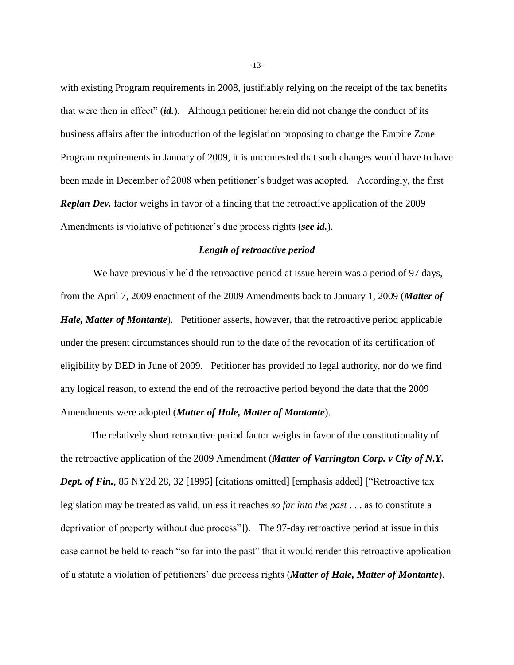with existing Program requirements in 2008, justifiably relying on the receipt of the tax benefits that were then in effect" (*id.*). Although petitioner herein did not change the conduct of its business affairs after the introduction of the legislation proposing to change the Empire Zone Program requirements in January of 2009, it is uncontested that such changes would have to have been made in December of 2008 when petitioner's budget was adopted. Accordingly, the first *Replan Dev.* factor weighs in favor of a finding that the retroactive application of the 2009 Amendments is violative of petitioner's due process rights (*see id.*).

# *Length of retroactive period*

We have previously held the retroactive period at issue herein was a period of 97 days, from the April 7, 2009 enactment of the 2009 Amendments back to January 1, 2009 (*Matter of Hale, Matter of Montante*). Petitioner asserts, however, that the retroactive period applicable under the present circumstances should run to the date of the revocation of its certification of eligibility by DED in June of 2009. Petitioner has provided no legal authority, nor do we find any logical reason, to extend the end of the retroactive period beyond the date that the 2009 Amendments were adopted (*Matter of Hale, Matter of Montante*).

The relatively short retroactive period factor weighs in favor of the constitutionality of the retroactive application of the 2009 Amendment (*[Matter of Varrington Corp. v City of N.Y.](http://www.westlaw.com/Link/Document/FullText?findType=Y&serNum=1995047646&pubNum=0000605&originatingDoc=I8fae1a35cc8811e8bc5b825c4b9add2e&refType=RP&fi=co_pp_sp_605_32&originationContext=document&vr=3.0&rs=cblt1.0&transitionType=DocumentItem&contextData=(sc.Search)#co_pp_sp_605_32)*  **Dept. of Fin.**[, 85 NY2d 28, 32 \[1995\]](http://www.westlaw.com/Link/Document/FullText?findType=Y&serNum=1995047646&pubNum=0000605&originatingDoc=I8fae1a35cc8811e8bc5b825c4b9add2e&refType=RP&fi=co_pp_sp_605_32&originationContext=document&vr=3.0&rs=cblt1.0&transitionType=DocumentItem&contextData=(sc.Search)#co_pp_sp_605_32) [citations omitted] [emphasis added] ["Retroactive tax legislation may be treated as valid, unless it reaches *so far into the past* . . . as to constitute a deprivation of property without due process"]). The 97-day retroactive period at issue in this case cannot be held to reach "so far into the past" that it would render this retroactive application of a statute a violation of petitioners' due process rights (*Matter of Hale, Matter of Montante*).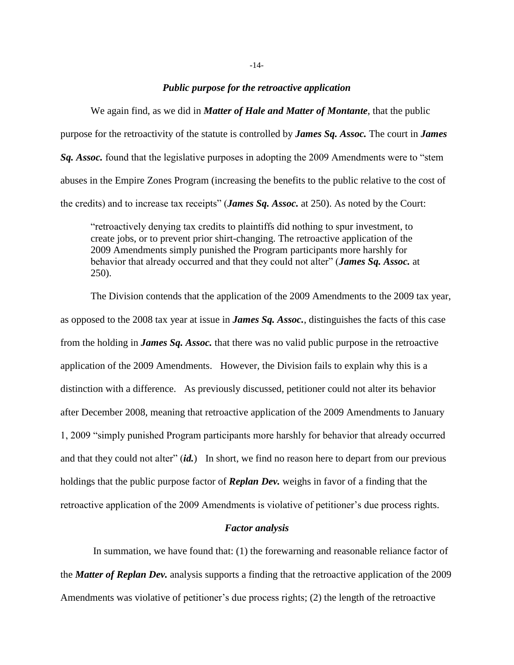#### *Public purpose for the retroactive application*

We again find, as we did in *Matter of Hale and Matter of Montante*, that the public purpose for the retroactivity of the statute is controlled by *James Sq. Assoc.* The court in *James Sq. Assoc.* found that the legislative purposes in adopting the 2009 Amendments were to "stem abuses in the Empire Zones Program (increasing the benefits to the public relative to the cost of the credits) and to increase tax receipts" (*James Sq. Assoc.* at 250). As noted by the Court:

"retroactively denying tax credits to plaintiffs did nothing to spur investment, to create jobs, or to prevent prior shirt-changing. The retroactive application of the 2009 Amendments simply punished the Program participants more harshly for behavior that already occurred and that they could not alter" (*James Sq. Assoc.* at 250).

The Division contends that the application of the 2009 Amendments to the 2009 tax year, as opposed to the 2008 tax year at issue in *James Sq. Assoc.*, distinguishes the facts of this case from the holding in *James Sq. Assoc.* that there was no valid public purpose in the retroactive application of the 2009 Amendments. However, the Division fails to explain why this is a distinction with a difference. As previously discussed, petitioner could not alter its behavior after December 2008, meaning that retroactive application of the 2009 Amendments to January 1, 2009 "simply punished Program participants more harshly for behavior that already occurred and that they could not alter" (*id.*) In short, we find no reason here to depart from our previous holdings that the public purpose factor of *Replan Dev.* weighs in favor of a finding that the retroactive application of the 2009 Amendments is violative of petitioner's due process rights.

## *Factor analysis*

In summation, we have found that: (1) the forewarning and reasonable reliance factor of the *Matter of Replan Dev.* analysis supports a finding that the retroactive application of the 2009 Amendments was violative of petitioner's due process rights; (2) the length of the retroactive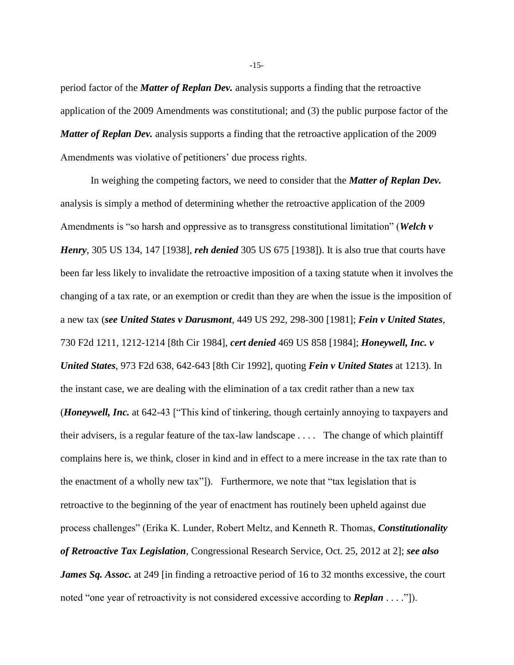period factor of the *Matter of Replan Dev.* analysis supports a finding that the retroactive application of the 2009 Amendments was constitutional; and (3) the public purpose factor of the *Matter of Replan Dev.* analysis supports a finding that the retroactive application of the 2009 Amendments was violative of petitioners' due process rights.

In weighing the competing factors, we need to consider that the *Matter of Replan Dev.* analysis is simply a method of determining whether the retroactive application of the 2009 Amendments is "so harsh and oppressive as to transgress constitutional limitation" (*[Welch v](http://www.westlaw.com/Link/Document/FullText?findType=Y&serNum=1938121810&pubNum=0000780&originatingDoc=I8fae1a35cc8811e8bc5b825c4b9add2e&refType=RP&fi=co_pp_sp_780_147&originationContext=document&vr=3.0&rs=cblt1.0&transitionType=DocumentItem&contextData=(sc.Search)#co_pp_sp_780_147)  Henry*[, 305 US 134, 147 \[1938\]](http://www.westlaw.com/Link/Document/FullText?findType=Y&serNum=1938121810&pubNum=0000780&originatingDoc=I8fae1a35cc8811e8bc5b825c4b9add2e&refType=RP&fi=co_pp_sp_780_147&originationContext=document&vr=3.0&rs=cblt1.0&transitionType=DocumentItem&contextData=(sc.Search)#co_pp_sp_780_147), *reh denied* [305 US 675 \[1938\]](http://www.westlaw.com/Link/Document/FullText?findType=Y&serNum=1938201717&pubNum=0000780&originatingDoc=I8fae1a35cc8811e8bc5b825c4b9add2e&refType=RP&originationContext=document&vr=3.0&rs=cblt1.0&transitionType=DocumentItem&contextData=(sc.Search))). It is also true that courts have been far less likely to invalidate the retroactive imposition of a taxing statute when it involves the changing of a tax rate, or an exemption or credit than they are when the issue is the imposition of a new tax (*see United States v Darusmont*[, 449 US 292, 298-300 \[1981\]](http://www.westlaw.com/Link/Document/FullText?findType=Y&serNum=1981101853&pubNum=0000780&originatingDoc=I8fae1a35cc8811e8bc5b825c4b9add2e&refType=RP&fi=co_pp_sp_780_298&originationContext=document&vr=3.0&rs=cblt1.0&transitionType=DocumentItem&contextData=(sc.Search)#co_pp_sp_780_298); *[Fein v United States](http://www.westlaw.com/Link/Document/FullText?findType=Y&serNum=1984116692&pubNum=0000350&originatingDoc=I8fae1a35cc8811e8bc5b825c4b9add2e&refType=RP&fi=co_pp_sp_350_1212&originationContext=document&vr=3.0&rs=cblt1.0&transitionType=DocumentItem&contextData=(sc.Search)#co_pp_sp_350_1212)*, [730 F2d 1211, 1212-1214](http://www.westlaw.com/Link/Document/FullText?findType=Y&serNum=1984116692&pubNum=0000350&originatingDoc=I8fae1a35cc8811e8bc5b825c4b9add2e&refType=RP&fi=co_pp_sp_350_1212&originationContext=document&vr=3.0&rs=cblt1.0&transitionType=DocumentItem&contextData=(sc.Search)#co_pp_sp_350_1212) [8th Cir 1984], *cert denied* [469 US 858 \[1984\]](http://www.westlaw.com/Link/Document/FullText?findType=Y&serNum=1984239328&pubNum=0000780&originatingDoc=I8fae1a35cc8811e8bc5b825c4b9add2e&refType=RP&originationContext=document&vr=3.0&rs=cblt1.0&transitionType=DocumentItem&contextData=(sc.Search)); *[Honeywell, Inc. v](http://www.westlaw.com/Link/Document/FullText?findType=Y&serNum=1992148692&pubNum=0000350&originatingDoc=I8fae1a35cc8811e8bc5b825c4b9add2e&refType=RP&fi=co_pp_sp_350_642&originationContext=document&vr=3.0&rs=cblt1.0&transitionType=DocumentItem&contextData=(sc.Search)#co_pp_sp_350_642)  United States*[, 973 F2d 638, 642-643](http://www.westlaw.com/Link/Document/FullText?findType=Y&serNum=1992148692&pubNum=0000350&originatingDoc=I8fae1a35cc8811e8bc5b825c4b9add2e&refType=RP&fi=co_pp_sp_350_642&originationContext=document&vr=3.0&rs=cblt1.0&transitionType=DocumentItem&contextData=(sc.Search)#co_pp_sp_350_642) [8th Cir 1992], quoting *Fein v United States* at 1213). In the instant case, we are dealing with the elimination of a tax credit rather than a new tax (*Honeywell, Inc.* at 642-43 ["This kind of tinkering, though certainly annoying to taxpayers and their advisers, is a regular feature of the tax-law landscape . . . . The change of which plaintiff complains here is, we think, closer in kind and in effect to a mere increase in the tax rate than to the enactment of a wholly new tax"]). Furthermore, we note that "tax legislation that is retroactive to the beginning of the year of enactment has routinely been upheld against due process challenges" (Erika K. Lunder, Robert Meltz, and Kenneth R. Thomas, *Constitutionality of Retroactive Tax Legislation*, Congressional Research Service, Oct. 25, 2012 at 2]; *see also James Sq. Assoc.* at 249 [in finding a retroactive period of 16 to 32 months excessive, the court noted "one year of retroactivity is not considered excessive according to *Replan* . . . ."]).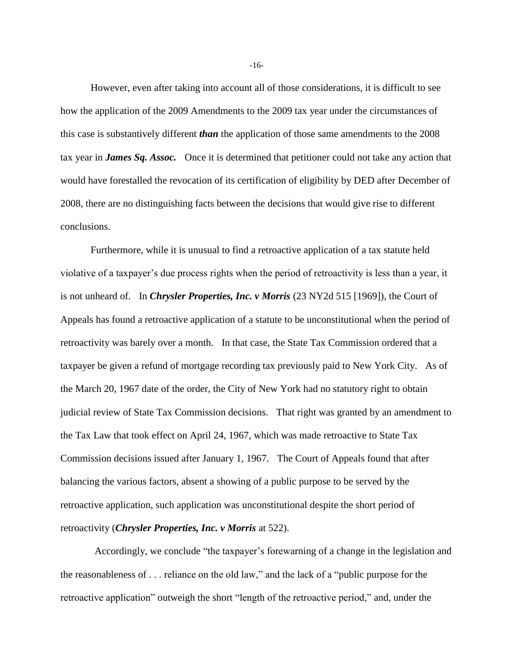However, even after taking into account all of those considerations, it is difficult to see how the application of the 2009 Amendments to the 2009 tax year under the circumstances of this case is substantively different *than* the application of those same amendments to the 2008 tax year in *James Sq. Assoc.* Once it is determined that petitioner could not take any action that would have forestalled the revocation of its certification of eligibility by DED after December of 2008, there are no distinguishing facts between the decisions that would give rise to different conclusions.

Furthermore, while it is unusual to find a retroactive application of a tax statute held violative of a taxpayer's due process rights when the period of retroactivity is less than a year, it is not unheard of. In *Chrysler Properties, Inc. v Morris* (23 NY2d 515 [1969]), the Court of Appeals has found a retroactive application of a statute to be unconstitutional when the period of retroactivity was barely over a month. In that case, the State Tax Commission ordered that a taxpayer be given a refund of mortgage recording tax previously paid to New York City. As of the March 20, 1967 date of the order, the City of New York had no statutory right to obtain judicial review of State Tax Commission decisions. That right was granted by an amendment to the Tax Law that took effect on April 24, 1967, which was made retroactive to State Tax Commission decisions issued after January 1, 1967. The Court of Appeals found that after balancing the various factors, absent a showing of a public purpose to be served by the retroactive application, such application was unconstitutional despite the short period of retroactivity (*Chrysler Properties, Inc. v Morris* at 522).

Accordingly, we conclude "the taxpayer's forewarning of a change in the legislation and the reasonableness of . . . reliance on the old law," and the lack of a "public purpose for the retroactive application" outweigh the short "length of the retroactive period," and, under the

-16-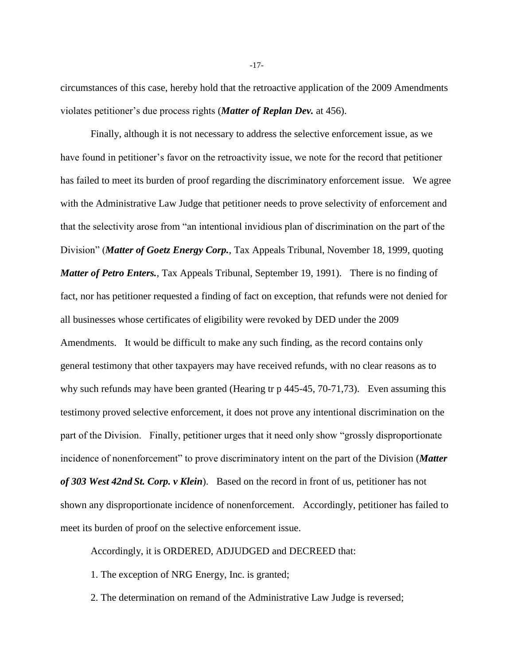circumstances of this case, hereby hold that the retroactive application of the 2009 Amendments violates petitioner's due process rights (*Matter of Replan Dev.* at 456).

Finally, although it is not necessary to address the selective enforcement issue, as we have found in petitioner's favor on the retroactivity issue, we note for the record that petitioner has failed to meet its burden of proof regarding the discriminatory enforcement issue. We agree with the Administrative Law Judge that petitioner needs to prove selectivity of enforcement and that the selectivity arose from "an intentional invidious plan of discrimination on the part of the Division" (*Matter of Goetz Energy Corp.*, Tax Appeals Tribunal, November 18, 1999, quoting *Matter of Petro Enters.*, Tax Appeals Tribunal, September 19, 1991). There is no finding of fact, nor has petitioner requested a finding of fact on exception, that refunds were not denied for all businesses whose certificates of eligibility were revoked by DED under the 2009 Amendments. It would be difficult to make any such finding, as the record contains only general testimony that other taxpayers may have received refunds, with no clear reasons as to why such refunds may have been granted (Hearing tr p 445-45, 70-71,73). Even assuming this testimony proved selective enforcement, it does not prove any intentional discrimination on the part of the Division. Finally, petitioner urges that it need only show "grossly disproportionate incidence of nonenforcement" to prove discriminatory intent on the part of the Division (*Matter of 303 West 42nd St. Corp. v Klein*). Based on the record in front of us, petitioner has not shown any disproportionate incidence of nonenforcement. Accordingly, petitioner has failed to meet its burden of proof on the selective enforcement issue.

Accordingly, it is ORDERED, ADJUDGED and DECREED that:

1. The exception of NRG Energy, Inc. is granted;

2. The determination on remand of the Administrative Law Judge is reversed;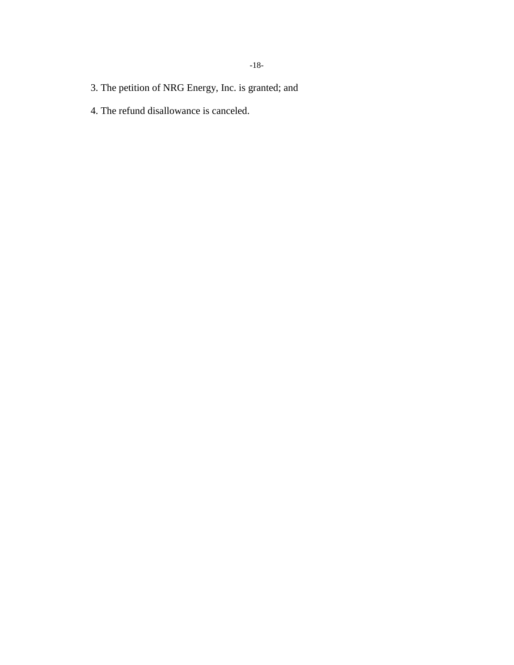- 3. The petition of NRG Energy, Inc. is granted; and
- 4. The refund disallowance is canceled.